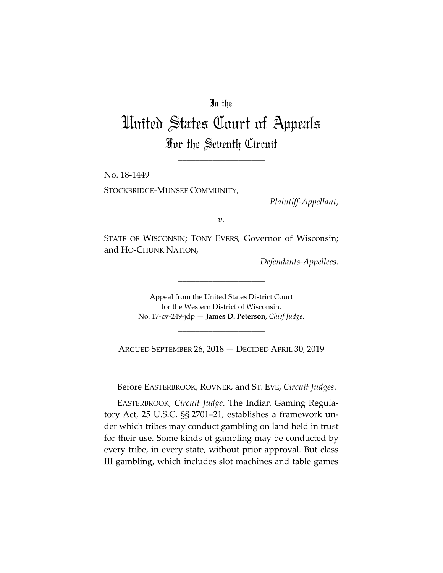## In the

## United States Court of Appeals For the Seventh Circuit

\_\_\_\_\_\_\_\_\_\_\_\_\_\_\_\_\_\_\_\_

No. 18-1449 STOCKBRIDGE-MUNSEE COMMUNITY,

*Plaintiff-Appellant*,

*v.*

STATE OF WISCONSIN; TONY EVERS, Governor of Wisconsin; and HO-CHUNK NATION,

*Defendants-Appellees*.

Appeal from the United States District Court for the Western District of Wisconsin. No. 17-cv-249-jdp — **James D. Peterson**, *Chief Judge*.

\_\_\_\_\_\_\_\_\_\_\_\_\_\_\_\_\_\_\_\_

ARGUED SEPTEMBER 26, 2018 — DECIDED APRIL 30, 2019 \_\_\_\_\_\_\_\_\_\_\_\_\_\_\_\_\_\_\_\_

\_\_\_\_\_\_\_\_\_\_\_\_\_\_\_\_\_\_\_\_

Before EASTERBROOK, ROVNER, and ST. EVE, *Circuit Judges*.

EASTERBROOK, *Circuit Judge*. The Indian Gaming Regulatory Act, 25 U.S.C. §§ 2701–21, establishes a framework under which tribes may conduct gambling on land held in trust for their use. Some kinds of gambling may be conducted by every tribe, in every state, without prior approval. But class III gambling, which includes slot machines and table games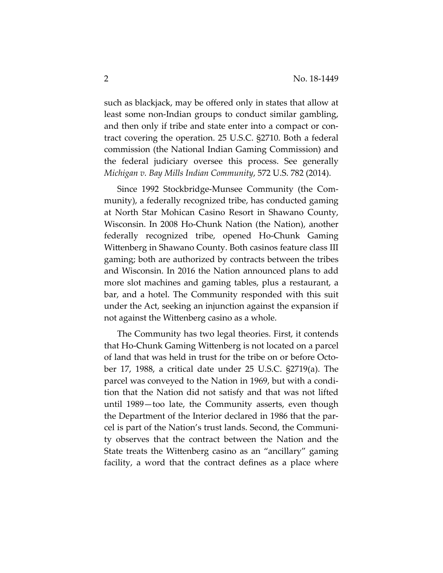such as blackjack, may be offered only in states that allow at least some non-Indian groups to conduct similar gambling, and then only if tribe and state enter into a compact or contract covering the operation. 25 U.S.C. §2710. Both a federal commission (the National Indian Gaming Commission) and the federal judiciary oversee this process. See generally *Michigan v. Bay Mills Indian Community*, 572 U.S. 782 (2014).

Since 1992 Stockbridge-Munsee Community (the Community), a federally recognized tribe, has conducted gaming at North Star Mohican Casino Resort in Shawano County, Wisconsin. In 2008 Ho-Chunk Nation (the Nation), another federally recognized tribe, opened Ho-Chunk Gaming Wittenberg in Shawano County. Both casinos feature class III gaming; both are authorized by contracts between the tribes and Wisconsin. In 2016 the Nation announced plans to add more slot machines and gaming tables, plus a restaurant, a bar, and a hotel. The Community responded with this suit under the Act, seeking an injunction against the expansion if not against the Wittenberg casino as a whole.

The Community has two legal theories. First, it contends that Ho-Chunk Gaming Wittenberg is not located on a parcel of land that was held in trust for the tribe on or before October 17, 1988, a critical date under 25 U.S.C. §2719(a). The parcel was conveyed to the Nation in 1969, but with a condition that the Nation did not satisfy and that was not lifted until 1989—too late, the Community asserts, even though the Department of the Interior declared in 1986 that the parcel is part of the Nation's trust lands. Second, the Community observes that the contract between the Nation and the State treats the Wittenberg casino as an "ancillary" gaming facility, a word that the contract defines as a place where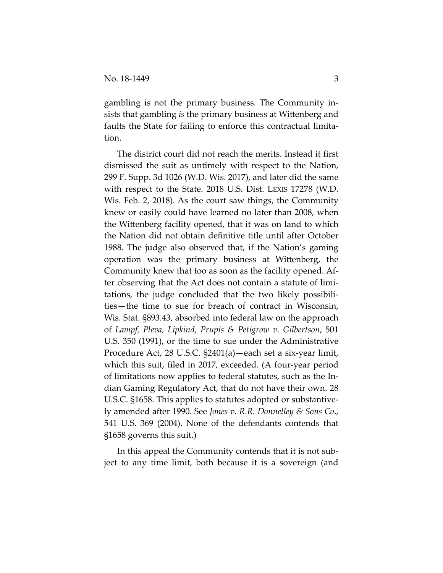gambling is not the primary business. The Community insists that gambling *is* the primary business at Wittenberg and faults the State for failing to enforce this contractual limitation.

The district court did not reach the merits. Instead it first dismissed the suit as untimely with respect to the Nation, 299 F. Supp. 3d 1026 (W.D. Wis. 2017), and later did the same with respect to the State. 2018 U.S. Dist. LEXIS 17278 (W.D. Wis. Feb. 2, 2018). As the court saw things, the Community knew or easily could have learned no later than 2008, when the Wittenberg facility opened, that it was on land to which the Nation did not obtain definitive title until after October 1988. The judge also observed that, if the Nation's gaming operation was the primary business at Wittenberg, the Community knew that too as soon as the facility opened. After observing that the Act does not contain a statute of limitations, the judge concluded that the two likely possibilities—the time to sue for breach of contract in Wisconsin, Wis. Stat. §893.43, absorbed into federal law on the approach of *Lampf, Pleva, Lipkind, Prupis & Petigrow v. Gilbertson*, 501 U.S. 350 (1991), or the time to sue under the Administrative Procedure Act, 28 U.S.C. §2401(a)—each set a six-year limit, which this suit, filed in 2017, exceeded. (A four-year period of limitations now applies to federal statutes, such as the Indian Gaming Regulatory Act, that do not have their own. 28 U.S.C. §1658. This applies to statutes adopted or substantively amended after 1990. See *Jones v. R.R. Donnelley & Sons Co*., 541 U.S. 369 (2004). None of the defendants contends that §1658 governs this suit.)

In this appeal the Community contends that it is not subject to any time limit, both because it is a sovereign (and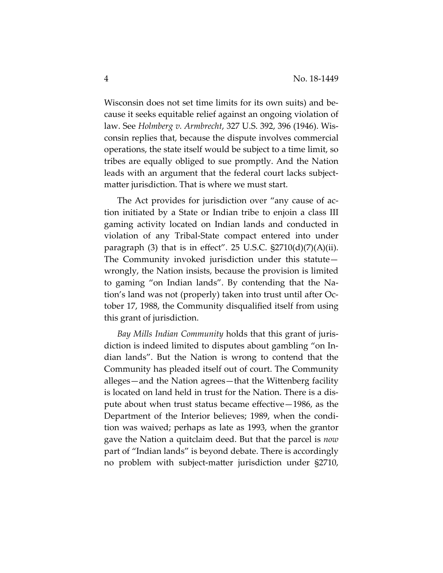Wisconsin does not set time limits for its own suits) and because it seeks equitable relief against an ongoing violation of law. See *Holmberg v. Armbrecht*, 327 U.S. 392, 396 (1946). Wisconsin replies that, because the dispute involves commercial operations, the state itself would be subject to a time limit, so tribes are equally obliged to sue promptly. And the Nation leads with an argument that the federal court lacks subjectmatter jurisdiction. That is where we must start.

The Act provides for jurisdiction over "any cause of action initiated by a State or Indian tribe to enjoin a class III gaming activity located on Indian lands and conducted in violation of any Tribal-State compact entered into under paragraph  $(3)$  that is in effect". 25 U.S.C.  $\S2710(d)(7)(A)(ii)$ . The Community invoked jurisdiction under this statute wrongly, the Nation insists, because the provision is limited to gaming "on Indian lands". By contending that the Nation's land was not (properly) taken into trust until after October 17, 1988, the Community disqualified itself from using this grant of jurisdiction.

*Bay Mills Indian Community* holds that this grant of jurisdiction is indeed limited to disputes about gambling "on Indian lands". But the Nation is wrong to contend that the Community has pleaded itself out of court. The Community alleges—and the Nation agrees—that the Wittenberg facility is located on land held in trust for the Nation. There is a dispute about when trust status became effective—1986, as the Department of the Interior believes; 1989, when the condition was waived; perhaps as late as 1993, when the grantor gave the Nation a quitclaim deed. But that the parcel is *now* part of "Indian lands" is beyond debate. There is accordingly no problem with subject-matter jurisdiction under §2710,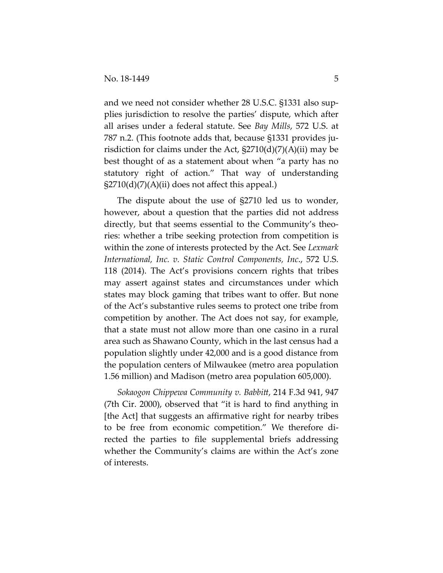and we need not consider whether 28 U.S.C. §1331 also supplies jurisdiction to resolve the parties' dispute, which after all arises under a federal statute. See *Bay Mills*, 572 U.S. at 787 n.2. (This footnote adds that, because §1331 provides jurisdiction for claims under the Act,  $\S2710(d)(7)(A)(ii)$  may be best thought of as a statement about when "a party has no statutory right of action." That way of understanding  $\S2710(d)(7)(A)(ii)$  does not affect this appeal.)

The dispute about the use of §2710 led us to wonder, however, about a question that the parties did not address directly, but that seems essential to the Community's theories: whether a tribe seeking protection from competition is within the zone of interests protected by the Act. See *Lexmark International, Inc. v. Static Control Components, Inc*., 572 U.S. 118 (2014). The Act's provisions concern rights that tribes may assert against states and circumstances under which states may block gaming that tribes want to offer. But none of the Act's substantive rules seems to protect one tribe from competition by another. The Act does not say, for example, that a state must not allow more than one casino in a rural area such as Shawano County, which in the last census had a population slightly under 42,000 and is a good distance from the population centers of Milwaukee (metro area population 1.56 million) and Madison (metro area population 605,000).

*Sokaogon Chippewa Community v. Babbitt*, 214 F.3d 941, 947 (7th Cir. 2000), observed that "it is hard to find anything in [the Act] that suggests an affirmative right for nearby tribes to be free from economic competition." We therefore directed the parties to file supplemental briefs addressing whether the Community's claims are within the Act's zone of interests.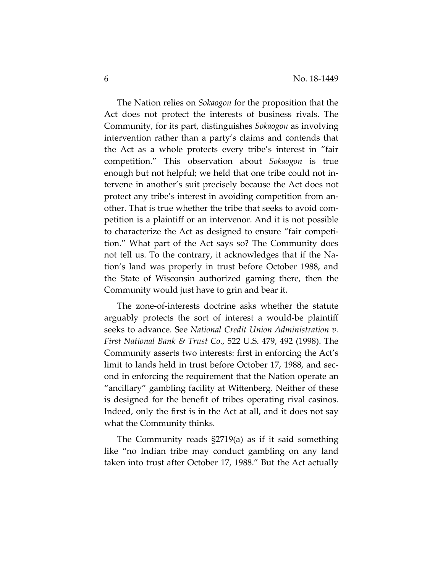The Nation relies on *Sokaogon* for the proposition that the Act does not protect the interests of business rivals. The Community, for its part, distinguishes *Sokaogon* as involving intervention rather than a party's claims and contends that the Act as a whole protects every tribe's interest in "fair competition." This observation about *Sokaogon* is true enough but not helpful; we held that one tribe could not intervene in another's suit precisely because the Act does not protect any tribe's interest in avoiding competition from another. That is true whether the tribe that seeks to avoid competition is a plaintiff or an intervenor. And it is not possible to characterize the Act as designed to ensure "fair competition." What part of the Act says so? The Community does not tell us. To the contrary, it acknowledges that if the Nation's land was properly in trust before October 1988, and the State of Wisconsin authorized gaming there, then the Community would just have to grin and bear it.

The zone-of-interests doctrine asks whether the statute arguably protects the sort of interest a would-be plaintiff seeks to advance. See *National Credit Union Administration v. First National Bank & Trust Co*., 522 U.S. 479, 492 (1998). The Community asserts two interests: first in enforcing the Act's limit to lands held in trust before October 17, 1988, and second in enforcing the requirement that the Nation operate an "ancillary" gambling facility at Wittenberg. Neither of these is designed for the benefit of tribes operating rival casinos. Indeed, only the first is in the Act at all, and it does not say what the Community thinks.

The Community reads §2719(a) as if it said something like "no Indian tribe may conduct gambling on any land taken into trust after October 17, 1988." But the Act actually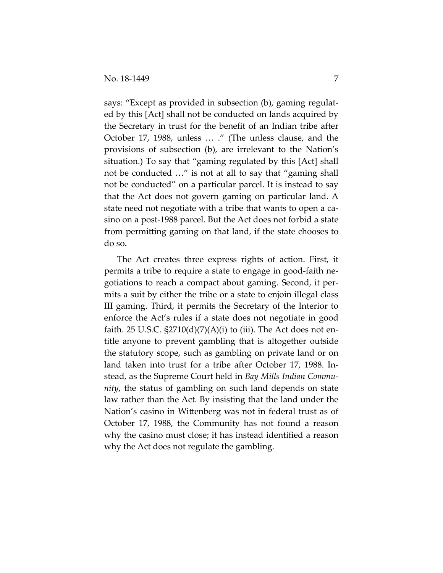says: "Except as provided in subsection (b), gaming regulated by this [Act] shall not be conducted on lands acquired by the Secretary in trust for the benefit of an Indian tribe after October 17, 1988, unless … ." (The unless clause, and the provisions of subsection (b), are irrelevant to the Nation's situation.) To say that "gaming regulated by this [Act] shall not be conducted …" is not at all to say that "gaming shall not be conducted" on a particular parcel. It is instead to say that the Act does not govern gaming on particular land. A state need not negotiate with a tribe that wants to open a casino on a post-1988 parcel. But the Act does not forbid a state from permitting gaming on that land, if the state chooses to do so.

The Act creates three express rights of action. First, it permits a tribe to require a state to engage in good-faith negotiations to reach a compact about gaming. Second, it permits a suit by either the tribe or a state to enjoin illegal class III gaming. Third, it permits the Secretary of the Interior to enforce the Act's rules if a state does not negotiate in good faith. 25 U.S.C.  $\S2710(d)(7)(A)(i)$  to (iii). The Act does not entitle anyone to prevent gambling that is altogether outside the statutory scope, such as gambling on private land or on land taken into trust for a tribe after October 17, 1988. Instead, as the Supreme Court held in *Bay Mills Indian Community*, the status of gambling on such land depends on state law rather than the Act. By insisting that the land under the Nation's casino in Wittenberg was not in federal trust as of October 17, 1988, the Community has not found a reason why the casino must close; it has instead identified a reason why the Act does not regulate the gambling.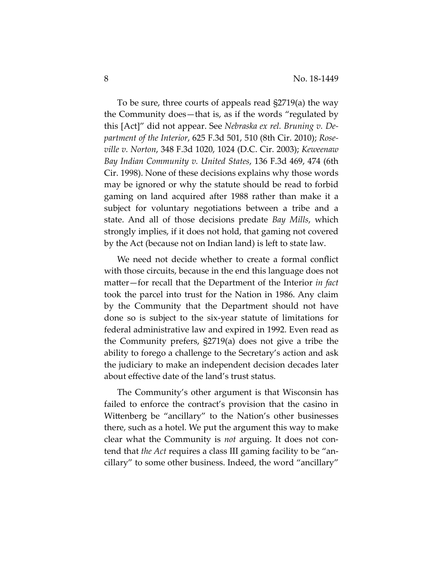To be sure, three courts of appeals read §2719(a) the way the Community does—that is, as if the words "regulated by this [Act]" did not appear. See *Nebraska ex rel. Bruning v. Department of the Interior*, 625 F.3d 501, 510 (8th Cir. 2010); *Roseville v. Norton*, 348 F.3d 1020, 1024 (D.C. Cir. 2003); *Keweenaw Bay Indian Community v. United States*, 136 F.3d 469, 474 (6th Cir. 1998). None of these decisions explains why those words may be ignored or why the statute should be read to forbid gaming on land acquired after 1988 rather than make it a subject for voluntary negotiations between a tribe and a state. And all of those decisions predate *Bay Mills*, which strongly implies, if it does not hold, that gaming not covered by the Act (because not on Indian land) is left to state law.

We need not decide whether to create a formal conflict with those circuits, because in the end this language does not matter—for recall that the Department of the Interior *in fact* took the parcel into trust for the Nation in 1986. Any claim by the Community that the Department should not have done so is subject to the six-year statute of limitations for federal administrative law and expired in 1992. Even read as the Community prefers, §2719(a) does not give a tribe the ability to forego a challenge to the Secretary's action and ask the judiciary to make an independent decision decades later about effective date of the land's trust status.

The Community's other argument is that Wisconsin has failed to enforce the contract's provision that the casino in Wittenberg be "ancillary" to the Nation's other businesses there, such as a hotel. We put the argument this way to make clear what the Community is *not* arguing. It does not contend that *the Act* requires a class III gaming facility to be "ancillary" to some other business. Indeed, the word "ancillary"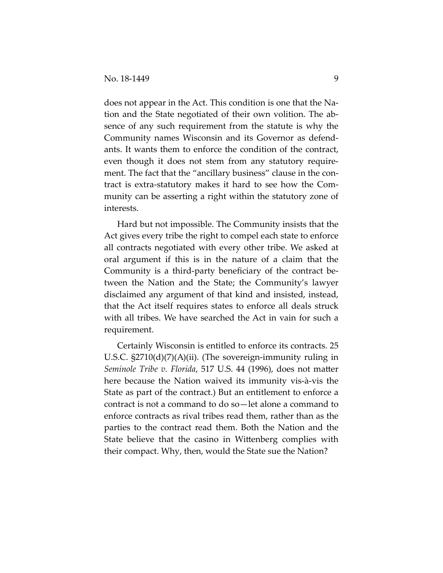does not appear in the Act. This condition is one that the Nation and the State negotiated of their own volition. The absence of any such requirement from the statute is why the Community names Wisconsin and its Governor as defendants. It wants them to enforce the condition of the contract, even though it does not stem from any statutory requirement. The fact that the "ancillary business" clause in the contract is extra-statutory makes it hard to see how the Community can be asserting a right within the statutory zone of interests.

Hard but not impossible. The Community insists that the Act gives every tribe the right to compel each state to enforce all contracts negotiated with every other tribe. We asked at oral argument if this is in the nature of a claim that the Community is a third-party beneficiary of the contract between the Nation and the State; the Community's lawyer disclaimed any argument of that kind and insisted, instead, that the Act itself requires states to enforce all deals struck with all tribes. We have searched the Act in vain for such a requirement.

Certainly Wisconsin is entitled to enforce its contracts. 25 U.S.C. §2710(d)(7)(A)(ii). (The sovereign-immunity ruling in *Seminole Tribe v. Florida*, 517 U.S. 44 (1996), does not matter here because the Nation waived its immunity vis-à-vis the State as part of the contract.) But an entitlement to enforce a contract is not a command to do so—let alone a command to enforce contracts as rival tribes read them, rather than as the parties to the contract read them. Both the Nation and the State believe that the casino in Wittenberg complies with their compact. Why, then, would the State sue the Nation?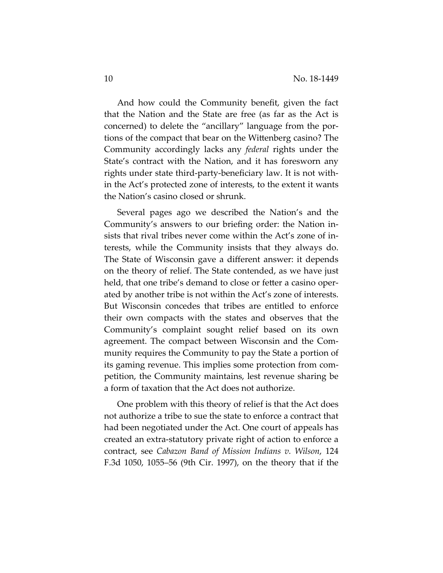And how could the Community benefit, given the fact that the Nation and the State are free (as far as the Act is concerned) to delete the "ancillary" language from the portions of the compact that bear on the Wittenberg casino? The Community accordingly lacks any *federal* rights under the State's contract with the Nation, and it has foresworn any rights under state third-party-beneficiary law. It is not within the Act's protected zone of interests, to the extent it wants the Nation's casino closed or shrunk.

Several pages ago we described the Nation's and the Community's answers to our briefing order: the Nation insists that rival tribes never come within the Act's zone of interests, while the Community insists that they always do. The State of Wisconsin gave a different answer: it depends on the theory of relief. The State contended, as we have just held, that one tribe's demand to close or fetter a casino operated by another tribe is not within the Act's zone of interests. But Wisconsin concedes that tribes are entitled to enforce their own compacts with the states and observes that the Community's complaint sought relief based on its own agreement. The compact between Wisconsin and the Community requires the Community to pay the State a portion of its gaming revenue. This implies some protection from competition, the Community maintains, lest revenue sharing be a form of taxation that the Act does not authorize.

One problem with this theory of relief is that the Act does not authorize a tribe to sue the state to enforce a contract that had been negotiated under the Act. One court of appeals has created an extra-statutory private right of action to enforce a contract, see *Cabazon Band of Mission Indians v. Wilson*, 124 F.3d 1050, 1055–56 (9th Cir. 1997), on the theory that if the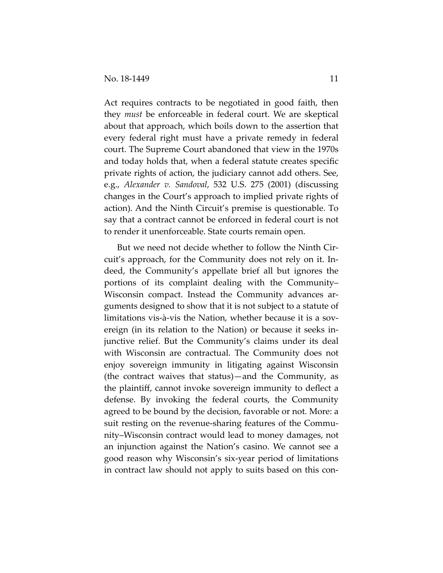Act requires contracts to be negotiated in good faith, then they *must* be enforceable in federal court. We are skeptical about that approach, which boils down to the assertion that every federal right must have a private remedy in federal court. The Supreme Court abandoned that view in the 1970s and today holds that, when a federal statute creates specific private rights of action, the judiciary cannot add others. See, e.g., *Alexander v. Sandoval*, 532 U.S. 275 (2001) (discussing changes in the Court's approach to implied private rights of action). And the Ninth Circuit's premise is questionable. To say that a contract cannot be enforced in federal court is not to render it unenforceable. State courts remain open.

But we need not decide whether to follow the Ninth Circuit's approach, for the Community does not rely on it. Indeed, the Community's appellate brief all but ignores the portions of its complaint dealing with the Community– Wisconsin compact. Instead the Community advances arguments designed to show that it is not subject to a statute of limitations vis-à-vis the Nation, whether because it is a sovereign (in its relation to the Nation) or because it seeks injunctive relief. But the Community's claims under its deal with Wisconsin are contractual. The Community does not enjoy sovereign immunity in litigating against Wisconsin (the contract waives that status)—and the Community, as the plaintiff, cannot invoke sovereign immunity to deflect a defense. By invoking the federal courts, the Community agreed to be bound by the decision, favorable or not. More: a suit resting on the revenue-sharing features of the Community–Wisconsin contract would lead to money damages, not an injunction against the Nation's casino. We cannot see a good reason why Wisconsin's six-year period of limitations in contract law should not apply to suits based on this con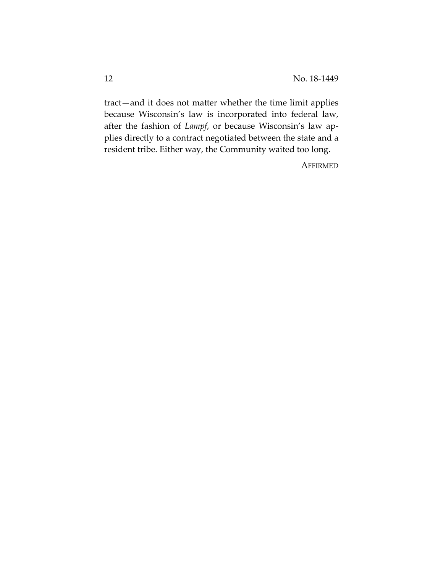tract—and it does not matter whether the time limit applies because Wisconsin's law is incorporated into federal law, after the fashion of *Lampf*, or because Wisconsin's law applies directly to a contract negotiated between the state and a resident tribe. Either way, the Community waited too long.

**AFFIRMED**